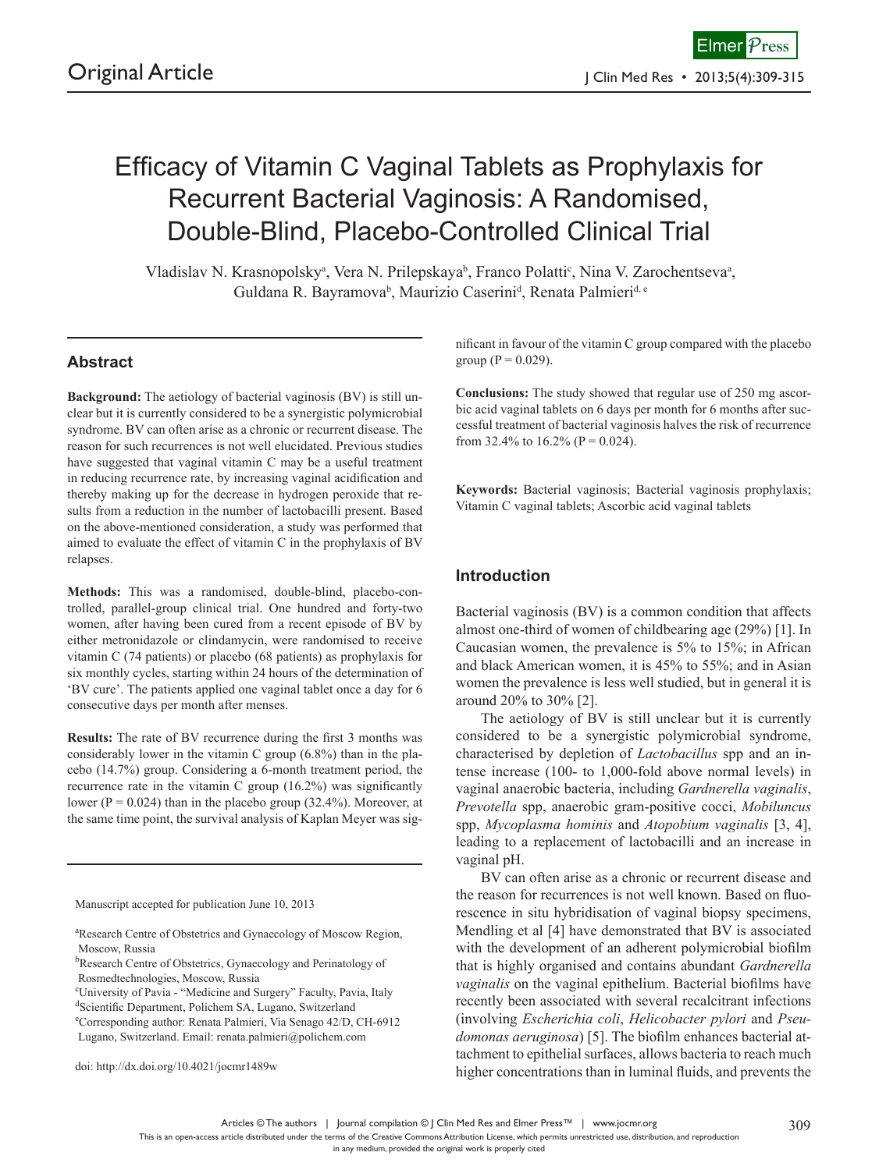# Efficacy of Vitamin C Vaginal Tablets as Prophylaxis for Recurrent Bacterial Vaginosis: A Randomised, Double-Blind, Placebo-Controlled Clinical Trial

Vladislav N. Krasnopolsky<sup>a</sup>, Vera N. Prilepskaya<sup>b</sup>, Franco Polatti<sup>c</sup>, Nina V. Zarochentseva<sup>a</sup>, Guldana R. Bayramova<sup>b</sup>, Maurizio Caserini<sup>d</sup>, Renata Palmieri<sup>d, e</sup>

# **Abstract**

**Background:** The aetiology of bacterial vaginosis (BV) is still unclear but it is currently considered to be a synergistic polymicrobial syndrome. BV can often arise as a chronic or recurrent disease. The reason for such recurrences is not well elucidated. Previous studies have suggested that vaginal vitamin C may be a useful treatment in reducing recurrence rate, by increasing vaginal acidification and thereby making up for the decrease in hydrogen peroxide that results from a reduction in the number of lactobacilli present. Based on the above-mentioned consideration, a study was performed that aimed to evaluate the effect of vitamin C in the prophylaxis of BV relapses.

**Methods:** This was a randomised, double-blind, placebo-controlled, parallel-group clinical trial. One hundred and forty-two women, after having been cured from a recent episode of BV by either metronidazole or clindamycin, were randomised to receive vitamin C (74 patients) or placebo (68 patients) as prophylaxis for six monthly cycles, starting within 24 hours of the determination of 'BV cure'. The patients applied one vaginal tablet once a day for 6 consecutive days per month after menses.

**Results:** The rate of BV recurrence during the first 3 months was considerably lower in the vitamin C group (6.8%) than in the placebo (14.7%) group. Considering a 6-month treatment period, the recurrence rate in the vitamin C group (16.2%) was significantly lower ( $P = 0.024$ ) than in the placebo group (32.4%). Moreover, at the same time point, the survival analysis of Kaplan Meyer was sig-

Manuscript accepted for publication June 10, 2013

doi: http://dx.doi.org/10.4021/jocmr1489w

nificant in favour of the vitamin C group compared with the placebo group ( $P = 0.029$ ).

**Conclusions:** The study showed that regular use of 250 mg ascorbic acid vaginal tablets on 6 days per month for 6 months after successful treatment of bacterial vaginosis halves the risk of recurrence from 32.4% to 16.2% ( $P = 0.024$ ).

**Keywords:** Bacterial vaginosis; Bacterial vaginosis prophylaxis; Vitamin C vaginal tablets; Ascorbic acid vaginal tablets

## **Introduction**

Bacterial vaginosis (BV) is a common condition that affects almost one-third of women of childbearing age (29%) [1]. In Caucasian women, the prevalence is 5% to 15%; in African and black American women, it is 45% to 55%; and in Asian women the prevalence is less well studied, but in general it is around 20% to 30% [2].

The aetiology of BV is still unclear but it is currently considered to be a synergistic polymicrobial syndrome, characterised by depletion of *Lactobacillus* spp and an intense increase (100- to 1,000-fold above normal levels) in vaginal anaerobic bacteria, including *Gardnerella vaginalis*, *Prevotella* spp, anaerobic gram-positive cocci, *Mobiluncus* spp, *Mycoplasma hominis* and *Atopobium vaginalis* [3, 4], leading to a replacement of lactobacilli and an increase in vaginal pH.

BV can often arise as a chronic or recurrent disease and the reason for recurrences is not well known. Based on fluorescence in situ hybridisation of vaginal biopsy specimens, Mendling et al [4] have demonstrated that BV is associated with the development of an adherent polymicrobial biofilm that is highly organised and contains abundant *Gardnerella vaginalis* on the vaginal epithelium. Bacterial biofilms have recently been associated with several recalcitrant infections (involving *Escherichia coli*, *Helicobacter pylori* and *Pseudomonas aeruginosa*) [5]. The biofilm enhances bacterial attachment to epithelial surfaces, allows bacteria to reach much higher concentrations than in luminal fluids, and prevents the

Articles © The authors | Journal compilation © J Clin Med Res and Elmer Press™ | www.jocmr.org

a Research Centre of Obstetrics and Gynaecology of Moscow Region, Moscow, Russia

<sup>&</sup>lt;sup>b</sup>Research Centre of Obstetrics, Gynaecology and Perinatology of Rosmedtechnologies, Moscow, Russia

c University of Pavia - "Medicine and Surgery" Faculty, Pavia, Italy

d Scientific Department, Polichem SA, Lugano, Switzerland

e Corresponding author: Renata Palmieri, Via Senago 42/D, CH-6912 Lugano, Switzerland. Email: renata.palmieri@polichem.com

This is an open-access article distributed under the terms of the Creative Commons Attribution License, which permits unrestricted use, distribution, and reproduction

in any medium, provided the original work is properly cited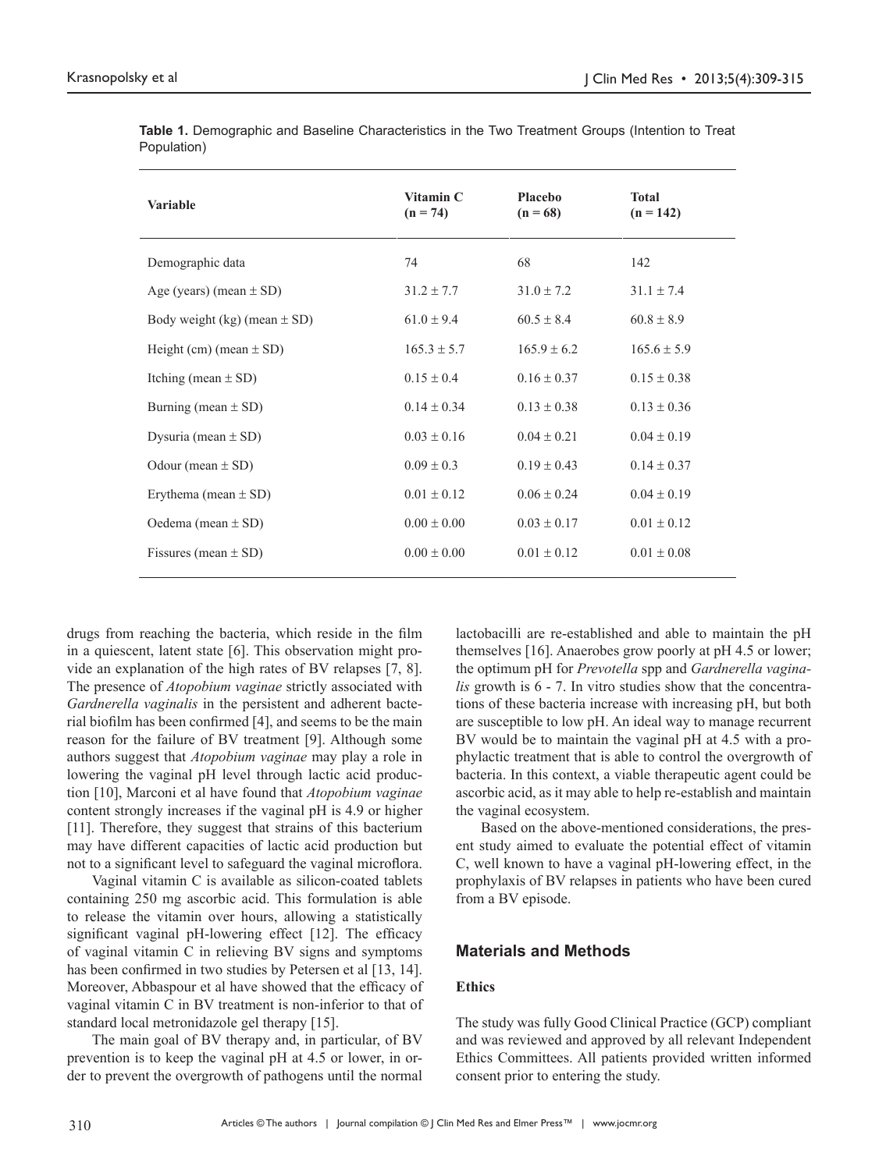| <b>Variable</b>                  | Vitamin C<br>$(n = 74)$ | Placebo<br>$(n = 68)$ | <b>Total</b><br>$(n = 142)$ |
|----------------------------------|-------------------------|-----------------------|-----------------------------|
| Demographic data                 | 74                      | 68                    | 142                         |
| Age (years) (mean $\pm$ SD)      | $31.2 \pm 7.7$          | $31.0 \pm 7.2$        | $31.1 \pm 7.4$              |
| Body weight (kg) (mean $\pm$ SD) | $61.0 \pm 9.4$          | $60.5 \pm 8.4$        | $60.8 \pm 8.9$              |
| Height (cm) (mean $\pm$ SD)      | $165.3 \pm 5.7$         | $165.9 \pm 6.2$       | $165.6 \pm 5.9$             |
| Itching (mean $\pm$ SD)          | $0.15 \pm 0.4$          | $0.16 \pm 0.37$       | $0.15 \pm 0.38$             |
| Burning (mean $\pm$ SD)          | $0.14 \pm 0.34$         | $0.13 \pm 0.38$       | $0.13 \pm 0.36$             |
| Dysuria (mean $\pm$ SD)          | $0.03 \pm 0.16$         | $0.04 \pm 0.21$       | $0.04 \pm 0.19$             |
| Odour (mean $\pm$ SD)            | $0.09 \pm 0.3$          | $0.19 \pm 0.43$       | $0.14 \pm 0.37$             |
| Erythema (mean $\pm$ SD)         | $0.01 \pm 0.12$         | $0.06 \pm 0.24$       | $0.04 \pm 0.19$             |
| Oedema (mean $\pm$ SD)           | $0.00 \pm 0.00$         | $0.03 \pm 0.17$       | $0.01 \pm 0.12$             |
| Fissures (mean $\pm$ SD)         | $0.00 \pm 0.00$         | $0.01 \pm 0.12$       | $0.01 \pm 0.08$             |

**Table 1.** Demographic and Baseline Characteristics in the Two Treatment Groups (Intention to Treat Population)

drugs from reaching the bacteria, which reside in the film in a quiescent, latent state [6]. This observation might provide an explanation of the high rates of BV relapses [7, 8]. The presence of *Atopobium vaginae* strictly associated with *Gardnerella vaginalis* in the persistent and adherent bacterial biofilm has been confirmed [4], and seems to be the main reason for the failure of BV treatment [9]. Although some authors suggest that *Atopobium vaginae* may play a role in lowering the vaginal pH level through lactic acid production [10], Marconi et al have found that *Atopobium vaginae* content strongly increases if the vaginal pH is 4.9 or higher [11]. Therefore, they suggest that strains of this bacterium may have different capacities of lactic acid production but not to a significant level to safeguard the vaginal microflora.

Vaginal vitamin C is available as silicon-coated tablets containing 250 mg ascorbic acid. This formulation is able to release the vitamin over hours, allowing a statistically significant vaginal pH-lowering effect [12]. The efficacy of vaginal vitamin C in relieving BV signs and symptoms has been confirmed in two studies by Petersen et al [13, 14]. Moreover, Abbaspour et al have showed that the efficacy of vaginal vitamin C in BV treatment is non-inferior to that of standard local metronidazole gel therapy [15].

The main goal of BV therapy and, in particular, of BV prevention is to keep the vaginal pH at 4.5 or lower, in order to prevent the overgrowth of pathogens until the normal lactobacilli are re-established and able to maintain the pH themselves [16]. Anaerobes grow poorly at pH 4.5 or lower; the optimum pH for *Prevotella* spp and *Gardnerella vaginalis* growth is 6 - 7. In vitro studies show that the concentrations of these bacteria increase with increasing pH, but both are susceptible to low pH. An ideal way to manage recurrent BV would be to maintain the vaginal pH at 4.5 with a prophylactic treatment that is able to control the overgrowth of bacteria. In this context, a viable therapeutic agent could be ascorbic acid, as it may able to help re-establish and maintain the vaginal ecosystem.

Based on the above-mentioned considerations, the present study aimed to evaluate the potential effect of vitamin C, well known to have a vaginal pH-lowering effect, in the prophylaxis of BV relapses in patients who have been cured from a BV episode.

## **Materials and Methods**

# **Ethics**

The study was fully Good Clinical Practice (GCP) compliant and was reviewed and approved by all relevant Independent Ethics Committees. All patients provided written informed consent prior to entering the study.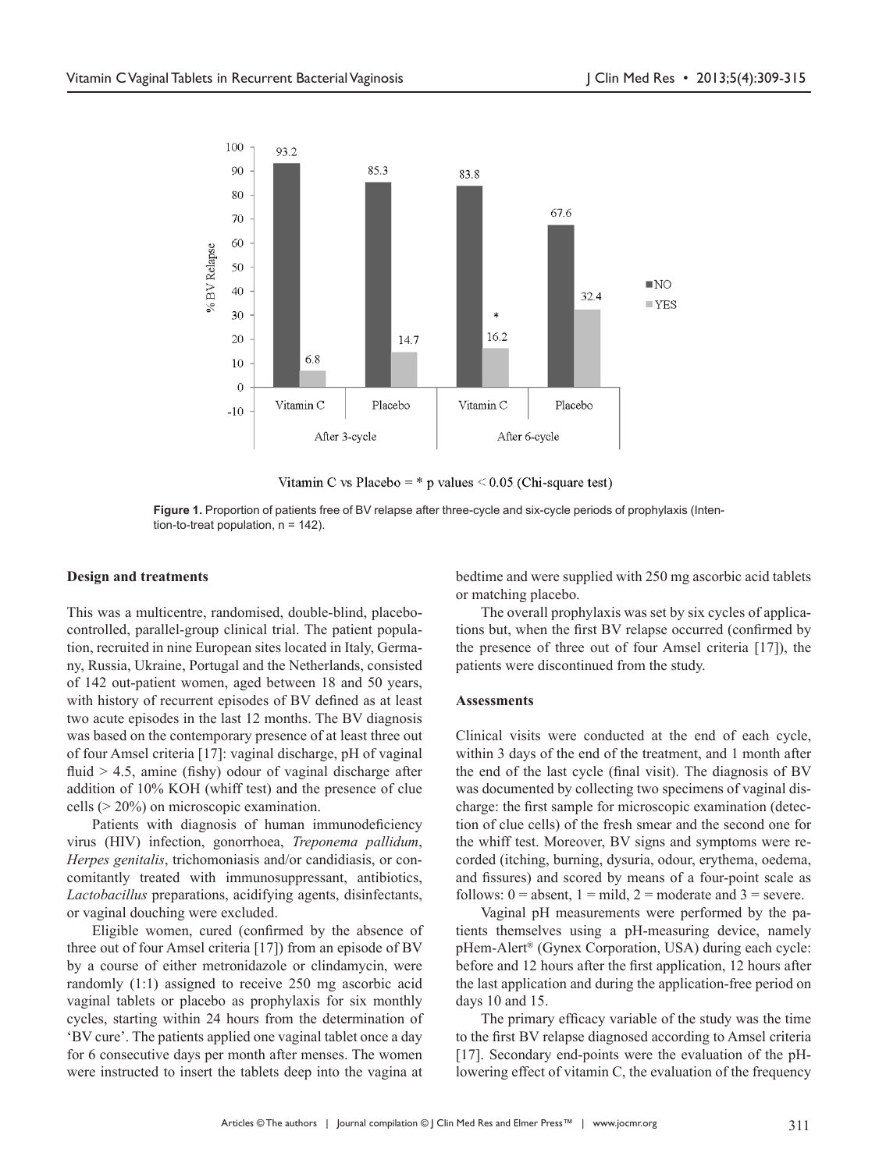

Vitamin C vs Placebo =  $*$  p values < 0.05 (Chi-square test)



#### **Design and treatments**

This was a multicentre, randomised, double-blind, placebocontrolled, parallel-group clinical trial. The patient population, recruited in nine European sites located in Italy, Germany, Russia, Ukraine, Portugal and the Netherlands, consisted of 142 out-patient women, aged between 18 and 50 years, with history of recurrent episodes of BV defined as at least two acute episodes in the last 12 months. The BV diagnosis was based on the contemporary presence of at least three out of four Amsel criteria [17]: vaginal discharge, pH of vaginal fluid  $> 4.5$ , amine (fishy) odour of vaginal discharge after addition of 10% KOH (whiff test) and the presence of clue cells (> 20%) on microscopic examination.

Patients with diagnosis of human immunodeficiency virus (HIV) infection, gonorrhoea, *Treponema pallidum*, *Herpes genitalis*, trichomoniasis and/or candidiasis, or concomitantly treated with immunosuppressant, antibiotics, *Lactobacillus* preparations, acidifying agents, disinfectants, or vaginal douching were excluded.

Eligible women, cured (confirmed by the absence of three out of four Amsel criteria [17]) from an episode of BV by a course of either metronidazole or clindamycin, were randomly (1:1) assigned to receive 250 mg ascorbic acid vaginal tablets or placebo as prophylaxis for six monthly cycles, starting within 24 hours from the determination of 'BV cure'. The patients applied one vaginal tablet once a day for 6 consecutive days per month after menses. The women were instructed to insert the tablets deep into the vagina at

bedtime and were supplied with 250 mg ascorbic acid tablets or matching placebo.

The overall prophylaxis was set by six cycles of applications but, when the first BV relapse occurred (confirmed by the presence of three out of four Amsel criteria [17]), the patients were discontinued from the study.

#### **Assessments**

Clinical visits were conducted at the end of each cycle, within 3 days of the end of the treatment, and 1 month after the end of the last cycle (final visit). The diagnosis of BV was documented by collecting two specimens of vaginal discharge: the first sample for microscopic examination (detection of clue cells) of the fresh smear and the second one for the whiff test. Moreover, BV signs and symptoms were recorded (itching, burning, dysuria, odour, erythema, oedema, and fissures) and scored by means of a four-point scale as follows:  $0 =$  absent,  $1 =$  mild,  $2 =$  moderate and  $3 =$  severe.

Vaginal pH measurements were performed by the patients themselves using a pH-measuring device, namely pHem-Alert® (Gynex Corporation, USA) during each cycle: before and 12 hours after the first application, 12 hours after the last application and during the application-free period on days 10 and 15.

The primary efficacy variable of the study was the time to the first BV relapse diagnosed according to Amsel criteria [17]. Secondary end-points were the evaluation of the pHlowering effect of vitamin C, the evaluation of the frequency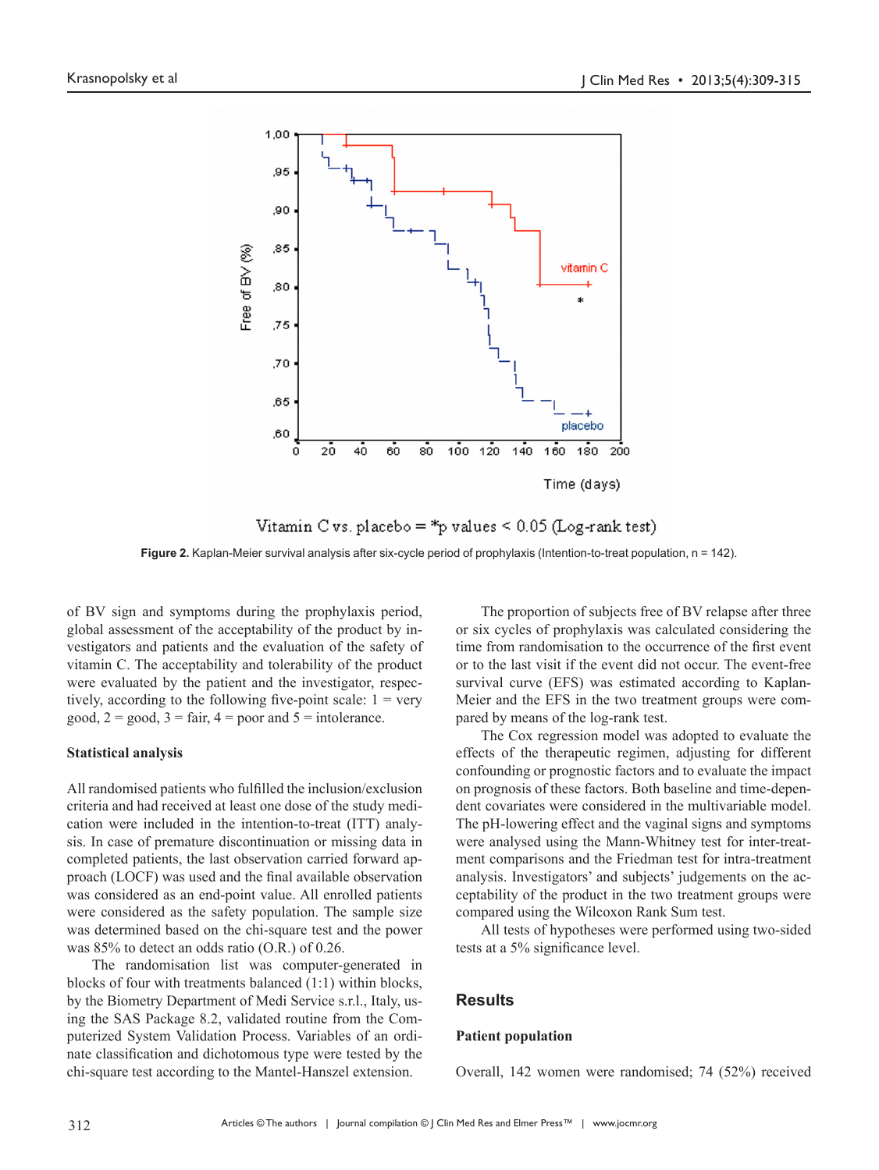

Vitamin C vs. placebo = \*p values <  $0.05$  (Log-rank test)

**Figure 2.** Kaplan-Meier survival analysis after six-cycle period of prophylaxis (Intention-to-treat population, n = 142).

of BV sign and symptoms during the prophylaxis period, global assessment of the acceptability of the product by investigators and patients and the evaluation of the safety of vitamin C. The acceptability and tolerability of the product were evaluated by the patient and the investigator, respectively, according to the following five-point scale:  $1 = \text{very}$ good,  $2 = \text{good}$ ,  $3 = \text{fair}$ ,  $4 = \text{poor}$  and  $5 = \text{intolerance}$ .

## **Statistical analysis**

All randomised patients who fulfilled the inclusion/exclusion criteria and had received at least one dose of the study medication were included in the intention-to-treat (ITT) analysis. In case of premature discontinuation or missing data in completed patients, the last observation carried forward approach (LOCF) was used and the final available observation was considered as an end-point value. All enrolled patients were considered as the safety population. The sample size was determined based on the chi-square test and the power was 85% to detect an odds ratio (O.R.) of 0.26.

The randomisation list was computer-generated in blocks of four with treatments balanced (1:1) within blocks, by the Biometry Department of Medi Service s.r.l., Italy, using the SAS Package 8.2, validated routine from the Computerized System Validation Process. Variables of an ordinate classification and dichotomous type were tested by the chi-square test according to the Mantel-Hanszel extension.

The proportion of subjects free of BV relapse after three or six cycles of prophylaxis was calculated considering the time from randomisation to the occurrence of the first event or to the last visit if the event did not occur. The event-free survival curve (EFS) was estimated according to Kaplan-Meier and the EFS in the two treatment groups were compared by means of the log-rank test.

The Cox regression model was adopted to evaluate the effects of the therapeutic regimen, adjusting for different confounding or prognostic factors and to evaluate the impact on prognosis of these factors. Both baseline and time-dependent covariates were considered in the multivariable model. The pH-lowering effect and the vaginal signs and symptoms were analysed using the Mann-Whitney test for inter-treatment comparisons and the Friedman test for intra-treatment analysis. Investigators' and subjects' judgements on the acceptability of the product in the two treatment groups were compared using the Wilcoxon Rank Sum test.

All tests of hypotheses were performed using two-sided tests at a 5% significance level.

## **Results**

#### **Patient population**

Overall, 142 women were randomised; 74 (52%) received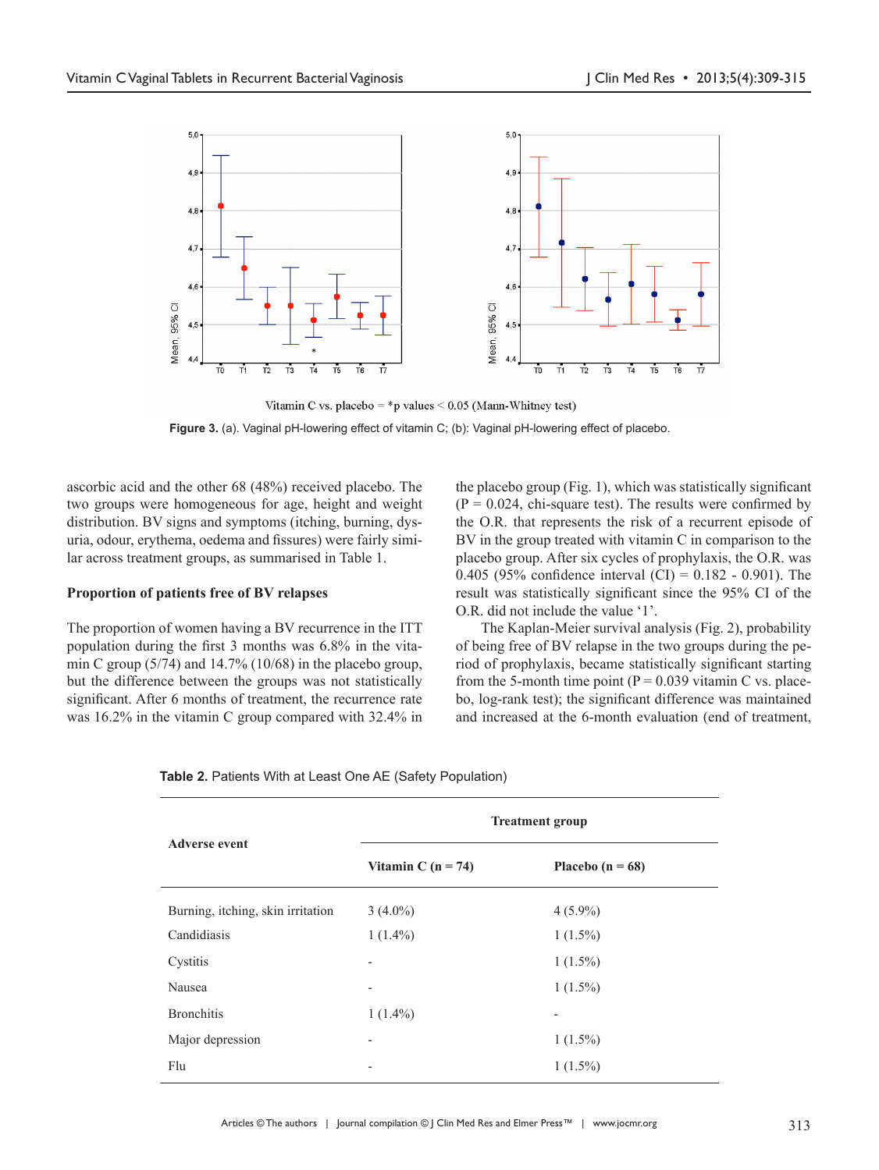

Vitamin C vs. placebo = \*p values <  $0.05$  (Mann-Whitney test) **Figure 3.** (a). Vaginal pH-lowering effect of vitamin C; (b): Vaginal pH-lowering effect of placebo.

ascorbic acid and the other 68 (48%) received placebo. The two groups were homogeneous for age, height and weight distribution. BV signs and symptoms (itching, burning, dysuria, odour, erythema, oedema and fissures) were fairly similar across treatment groups, as summarised in Table 1.

## **Proportion of patients free of BV relapses**

The proportion of women having a BV recurrence in the ITT population during the first 3 months was 6.8% in the vitamin C group  $(5/74)$  and  $14.7\%$   $(10/68)$  in the placebo group, but the difference between the groups was not statistically significant. After 6 months of treatment, the recurrence rate was 16.2% in the vitamin C group compared with 32.4% in

the placebo group (Fig. 1), which was statistically significant  $(P = 0.024$ , chi-square test). The results were confirmed by the O.R. that represents the risk of a recurrent episode of BV in the group treated with vitamin C in comparison to the placebo group. After six cycles of prophylaxis, the O.R. was 0.405 (95% confidence interval  $(CI) = 0.182 - 0.901$ ). The result was statistically significant since the 95% CI of the O.R. did not include the value '1'.

The Kaplan-Meier survival analysis (Fig. 2), probability of being free of BV relapse in the two groups during the period of prophylaxis, became statistically significant starting from the 5-month time point ( $P = 0.039$  vitamin C vs. placebo, log-rank test); the significant difference was maintained and increased at the 6-month evaluation (end of treatment,

|                                   | <b>Treatment group</b>       |                          |  |
|-----------------------------------|------------------------------|--------------------------|--|
| <b>Adverse event</b>              | Vitamin C ( $n = 74$ )       | Placebo $(n = 68)$       |  |
| Burning, itching, skin irritation | $3(4.0\%)$                   | $4(5.9\%)$               |  |
| Candidiasis                       | $1(1.4\%)$                   | $1(1.5\%)$               |  |
| Cystitis                          |                              | $1(1.5\%)$               |  |
| Nausea                            | $\qquad \qquad \blacksquare$ | $1(1.5\%)$               |  |
| <b>Bronchitis</b>                 | $1(1.4\%)$                   | $\overline{\phantom{0}}$ |  |
| Major depression                  |                              | $1(1.5\%)$               |  |
| Flu                               |                              | $1(1.5\%)$               |  |

**Table 2. Patients With at Least One AE (Safety Population)**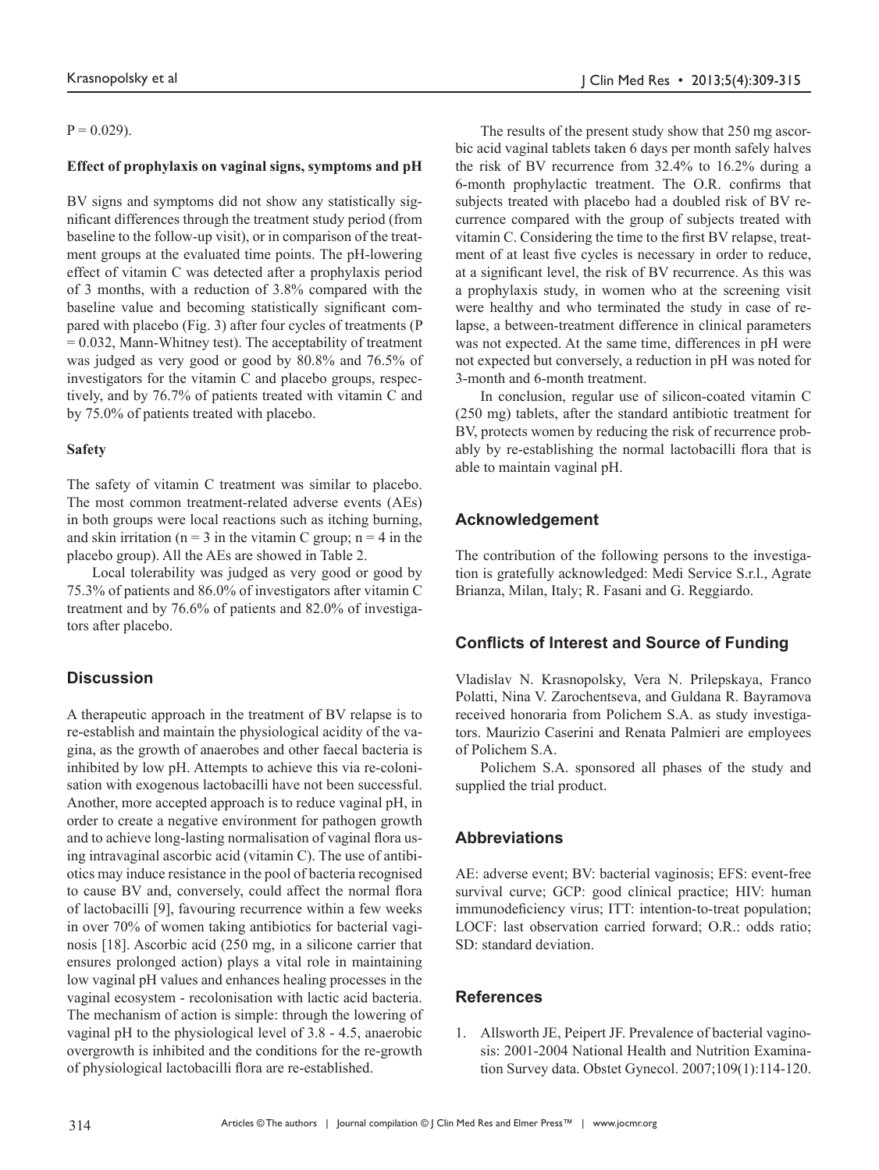$P = 0.029$ ).

## **Effect of prophylaxis on vaginal signs, symptoms and pH**

BV signs and symptoms did not show any statistically significant differences through the treatment study period (from baseline to the follow-up visit), or in comparison of the treatment groups at the evaluated time points. The pH-lowering effect of vitamin C was detected after a prophylaxis period of 3 months, with a reduction of 3.8% compared with the baseline value and becoming statistically significant compared with placebo (Fig. 3) after four cycles of treatments (P  $= 0.032$ , Mann-Whitney test). The acceptability of treatment was judged as very good or good by 80.8% and 76.5% of investigators for the vitamin C and placebo groups, respectively, and by 76.7% of patients treated with vitamin C and by 75.0% of patients treated with placebo.

## **Safety**

The safety of vitamin C treatment was similar to placebo. The most common treatment-related adverse events (AEs) in both groups were local reactions such as itching burning, and skin irritation ( $n = 3$  in the vitamin C group;  $n = 4$  in the placebo group). All the AEs are showed in Table 2.

Local tolerability was judged as very good or good by 75.3% of patients and 86.0% of investigators after vitamin C treatment and by 76.6% of patients and 82.0% of investigators after placebo.

## **Discussion**

A therapeutic approach in the treatment of BV relapse is to re-establish and maintain the physiological acidity of the vagina, as the growth of anaerobes and other faecal bacteria is inhibited by low pH. Attempts to achieve this via re-colonisation with exogenous lactobacilli have not been successful. Another, more accepted approach is to reduce vaginal pH, in order to create a negative environment for pathogen growth and to achieve long-lasting normalisation of vaginal flora using intravaginal ascorbic acid (vitamin C). The use of antibiotics may induce resistance in the pool of bacteria recognised to cause BV and, conversely, could affect the normal flora of lactobacilli [9], favouring recurrence within a few weeks in over 70% of women taking antibiotics for bacterial vaginosis [18]. Ascorbic acid (250 mg, in a silicone carrier that ensures prolonged action) plays a vital role in maintaining low vaginal pH values and enhances healing processes in the vaginal ecosystem - recolonisation with lactic acid bacteria. The mechanism of action is simple: through the lowering of vaginal pH to the physiological level of 3.8 - 4.5, anaerobic overgrowth is inhibited and the conditions for the re-growth of physiological lactobacilli flora are re-established.

The results of the present study show that 250 mg ascorbic acid vaginal tablets taken 6 days per month safely halves the risk of BV recurrence from 32.4% to 16.2% during a 6-month prophylactic treatment. The O.R. confirms that subjects treated with placebo had a doubled risk of BV recurrence compared with the group of subjects treated with vitamin C. Considering the time to the first BV relapse, treatment of at least five cycles is necessary in order to reduce, at a significant level, the risk of BV recurrence. As this was a prophylaxis study, in women who at the screening visit were healthy and who terminated the study in case of relapse, a between-treatment difference in clinical parameters was not expected. At the same time, differences in pH were not expected but conversely, a reduction in pH was noted for 3-month and 6-month treatment.

In conclusion, regular use of silicon-coated vitamin C (250 mg) tablets, after the standard antibiotic treatment for BV, protects women by reducing the risk of recurrence probably by re-establishing the normal lactobacilli flora that is able to maintain vaginal pH.

## **Acknowledgement**

The contribution of the following persons to the investigation is gratefully acknowledged: Medi Service S.r.l., Agrate Brianza, Milan, Italy; R. Fasani and G. Reggiardo.

## **Conflicts of Interest and Source of Funding**

Vladislav N. Krasnopolsky, Vera N. Prilepskaya, Franco Polatti, Nina V. Zarochentseva, and Guldana R. Bayramova received honoraria from Polichem S.A. as study investigators. Maurizio Caserini and Renata Palmieri are employees of Polichem S.A.

Polichem S.A. sponsored all phases of the study and supplied the trial product.

# **Abbreviations**

AE: adverse event; BV: bacterial vaginosis; EFS: event-free survival curve; GCP: good clinical practice; HIV: human immunodeficiency virus; ITT: intention-to-treat population; LOCF: last observation carried forward; O.R.: odds ratio; SD: standard deviation.

# **References**

1. Allsworth JE, Peipert JF. Prevalence of bacterial vaginosis: 2001-2004 National Health and Nutrition Examination Survey data. Obstet Gynecol. 2007;109(1):114-120.